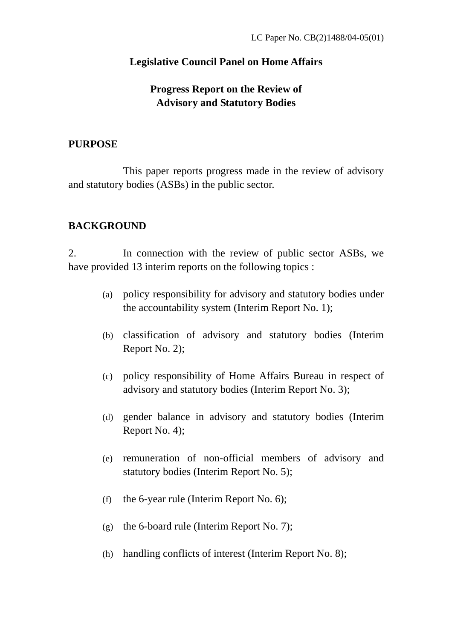## **Legislative Council Panel on Home Affairs**

# **Progress Report on the Review of Advisory and Statutory Bodies**

### **PURPOSE**

 This paper reports progress made in the review of advisory and statutory bodies (ASBs) in the public sector.

## **BACKGROUND**

2. In connection with the review of public sector ASBs, we have provided 13 interim reports on the following topics :

- (a) policy responsibility for advisory and statutory bodies under the accountability system (Interim Report No. 1);
- (b) classification of advisory and statutory bodies (Interim Report No. 2);
- (c) policy responsibility of Home Affairs Bureau in respect of advisory and statutory bodies (Interim Report No. 3);
- (d) gender balance in advisory and statutory bodies (Interim Report No. 4);
- (e) remuneration of non-official members of advisory and statutory bodies (Interim Report No. 5);
- (f) the 6-year rule (Interim Report No. 6);
- (g) the 6-board rule (Interim Report No. 7);
- (h) handling conflicts of interest (Interim Report No. 8);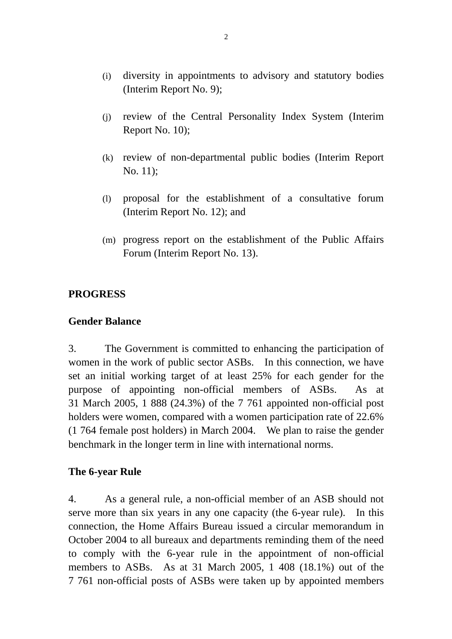- (i) diversity in appointments to advisory and statutory bodies (Interim Report No. 9);
- (j) review of the Central Personality Index System (Interim Report No. 10);
- (k) review of non-departmental public bodies (Interim Report No. 11);
- (l) proposal for the establishment of a consultative forum (Interim Report No. 12); and
- (m) progress report on the establishment of the Public Affairs Forum (Interim Report No. 13).

## **PROGRESS**

### **Gender Balance**

3. The Government is committed to enhancing the participation of women in the work of public sector ASBs. In this connection, we have set an initial working target of at least 25% for each gender for the purpose of appointing non-official members of ASBs. As at 31 March 2005, 1 888 (24.3%) of the 7 761 appointed non-official post holders were women, compared with a women participation rate of 22.6% (1 764 female post holders) in March 2004. We plan to raise the gender benchmark in the longer term in line with international norms.

### **The 6-year Rule**

4. As a general rule, a non-official member of an ASB should not serve more than six years in any one capacity (the 6-year rule). In this connection, the Home Affairs Bureau issued a circular memorandum in October 2004 to all bureaux and departments reminding them of the need to comply with the 6-year rule in the appointment of non-official members to ASBs. As at 31 March 2005, 1 408 (18.1%) out of the 7 761 non-official posts of ASBs were taken up by appointed members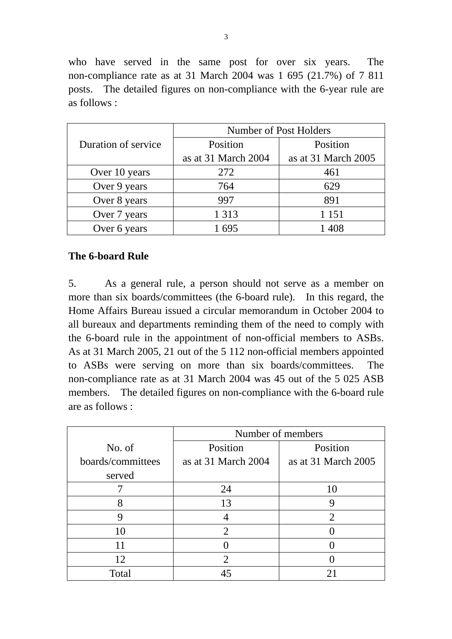who have served in the same post for over six years. The non-compliance rate as at 31 March 2004 was 1 695 (21.7%) of 7 811 posts. The detailed figures on non-compliance with the 6-year rule are as follows :

|                     | Number of Post Holders |                     |  |
|---------------------|------------------------|---------------------|--|
| Duration of service | Position               | Position            |  |
|                     | as at 31 March 2004    | as at 31 March 2005 |  |
| Over 10 years       | 272                    | 461                 |  |
| Over 9 years        | 764                    | 629                 |  |
| Over 8 years        | 997                    | 891                 |  |
| Over 7 years        | 1 3 1 3                | 1 1 5 1             |  |
| Over 6 years        | 1695                   | 1408                |  |

### **The 6-board Rule**

5. As a general rule, a person should not serve as a member on more than six boards/committees (the 6-board rule). In this regard, the Home Affairs Bureau issued a circular memorandum in October 2004 to all bureaux and departments reminding them of the need to comply with the 6-board rule in the appointment of non-official members to ASBs. As at 31 March 2005, 21 out of the 5 112 non-official members appointed to ASBs were serving on more than six boards/committees. The non-compliance rate as at 31 March 2004 was 45 out of the 5 025 ASB members. The detailed figures on non-compliance with the 6-board rule are as follows :

|                   | Number of members     |                             |  |
|-------------------|-----------------------|-----------------------------|--|
| No. of            | Position              | Position                    |  |
| boards/committees | as at 31 March 2004   | as at 31 March 2005         |  |
| served            |                       |                             |  |
|                   | 24                    | 10                          |  |
| 8                 | 13                    | g                           |  |
|                   |                       | $\mathcal{D}_{\mathcal{A}}$ |  |
| 10                | $\mathcal{D}_{\cdot}$ |                             |  |
|                   |                       |                             |  |
| 12                | $\overline{2}$        |                             |  |
| Total             |                       |                             |  |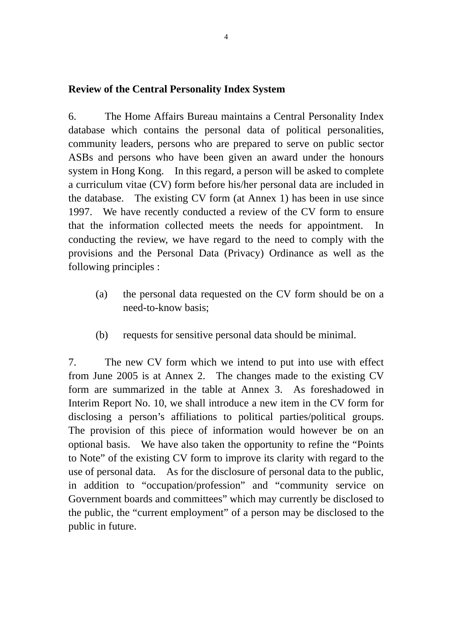## **Review of the Central Personality Index System**

6. The Home Affairs Bureau maintains a Central Personality Index database which contains the personal data of political personalities, community leaders, persons who are prepared to serve on public sector ASBs and persons who have been given an award under the honours system in Hong Kong. In this regard, a person will be asked to complete a curriculum vitae (CV) form before his/her personal data are included in the database. The existing CV form (at Annex 1) has been in use since 1997. We have recently conducted a review of the CV form to ensure that the information collected meets the needs for appointment. In conducting the review, we have regard to the need to comply with the provisions and the Personal Data (Privacy) Ordinance as well as the following principles :

- (a) the personal data requested on the CV form should be on a need-to-know basis;
- (b) requests for sensitive personal data should be minimal.

7. The new CV form which we intend to put into use with effect from June 2005 is at Annex 2. The changes made to the existing CV form are summarized in the table at Annex 3. As foreshadowed in Interim Report No. 10, we shall introduce a new item in the CV form for disclosing a person's affiliations to political parties/political groups. The provision of this piece of information would however be on an optional basis. We have also taken the opportunity to refine the "Points to Note" of the existing CV form to improve its clarity with regard to the use of personal data. As for the disclosure of personal data to the public, in addition to "occupation/profession" and "community service on Government boards and committees" which may currently be disclosed to the public, the "current employment" of a person may be disclosed to the public in future.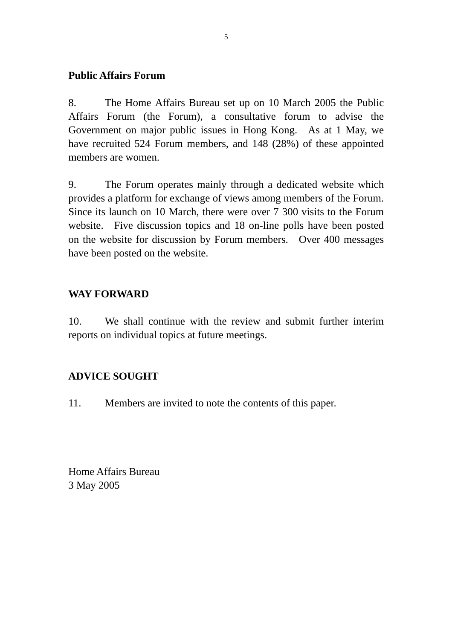## **Public Affairs Forum**

8. The Home Affairs Bureau set up on 10 March 2005 the Public Affairs Forum (the Forum), a consultative forum to advise the Government on major public issues in Hong Kong. As at 1 May, we have recruited 524 Forum members, and 148 (28%) of these appointed members are women.

9. The Forum operates mainly through a dedicated website which provides a platform for exchange of views among members of the Forum. Since its launch on 10 March, there were over 7 300 visits to the Forum website. Five discussion topics and 18 on-line polls have been posted on the website for discussion by Forum members. Over 400 messages have been posted on the website.

## **WAY FORWARD**

10. We shall continue with the review and submit further interim reports on individual topics at future meetings.

## **ADVICE SOUGHT**

11. Members are invited to note the contents of this paper.

Home Affairs Bureau 3 May 2005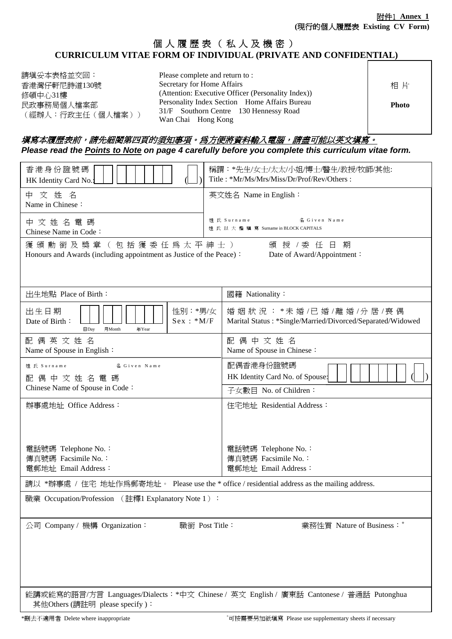## 個人履歷表(私人及機密) **CURRICULUM VITAE FORM OF INDIVIDUAL (PRIVATE AND CONFIDENTIAL)**

| 請塡妥本表格並交回:       |
|------------------|
| 香港灣仔軒尼詩道130號     |
| 修頓中心31樓          |
| 民政事務局個人檔案部       |
| (經辦人:行政主任(個人檔案)) |

Please complete and return to : Secretary for Home Affairs (Attention: Executive Officer (Personality Index)) Personality Index Section Home Affairs Bureau 31/F Southorn Centre 130 Hennessy Road Wan Chai Hong Kong 相 片 **Photo** 

### 填寫本履歷表前,請先細閱第四頁的須知事項。爲方便將資料輸入電腦,請盡可能以英文填寫。 *Please read the Points to Note on page 4 carefully before you complete this curriculum vitae form.*

| 香港身份證號碼<br>HK Identity Card No.:                                                             | 稱謂:*先生/女士/太太/小姐/博士/醫生/教授/牧師/其他:<br>Title: *Mr/Ms/Mrs/Miss/Dr/Prof/Rev/Others:           |  |
|----------------------------------------------------------------------------------------------|-----------------------------------------------------------------------------------------|--|
| 中 文 姓 名<br>Name in Chinese:                                                                  | 英文姓名 Name in English:                                                                   |  |
| 中 文 姓 名 電 碼<br>Chinese Name in Code:                                                         | 姓 氏 Surname<br>名 Given Name<br>姓氏以大楷填寫 Surname in BLOCK CAPITALS                        |  |
| 獲頒勳銜及獎章(包括獲委任爲太平紳士)<br>Honours and Awards (including appointment as Justice of the Peace):   | 頒 授 /委 任 日 期<br>Date of Award/Appointment:                                              |  |
| 出生地點 Place of Birth:                                                                         | 國籍 Nationality:                                                                         |  |
| 性別:*男/女<br>出生日期<br>$Sex : *M/F$<br>Date of Birth:<br>$\Box$ Day<br>月Month<br>年Year           | 婚姻狀況: *未婚/已婚/離婚/分居/喪偶<br>Marital Status: *Single/Married/Divorced/Separated/Widowed     |  |
| 配偶英文姓名<br>Name of Spouse in English:                                                         | 配偶中文姓名<br>Name of Spouse in Chinese:                                                    |  |
| 姓 氏 Surname<br>名 Given Name<br>配偶中文姓名電碼                                                      | 配偶香港身份證號碼<br>HK Identity Card No. of Spouse:                                            |  |
| Chinese Name of Spouse in Code:                                                              | 子女數目 No. of Children:                                                                   |  |
| 辦事處地址 Office Address:                                                                        | 住宅地址 Residential Address:                                                               |  |
| 電話號碼 Telephone No.:<br>傳真號碼 Facsimile No.:                                                   | 電話號碼 Telephone No.:<br>傳真號碼 Facsimile No.:                                              |  |
| 電郵地址 Email Address:                                                                          | 電郵地址 Email Address:                                                                     |  |
| 請以 *辦事處 / 住宅 地址作爲郵寄地址。 Please use the * office / residential address as the mailing address. |                                                                                         |  |
| 職業 Occupation/Profession (註釋1 Explanatory Note 1):                                           |                                                                                         |  |
| 公司 Company / 機構 Organization:<br>職銜 Post Title:                                              | 業務性質 Nature of Business: +                                                              |  |
| 其他Others (請註明 please specify):                                                               | 能講或能寫的語言/方言 Languages/Dialects:*中文 Chinese / 英文 English / 廣東話 Cantonese / 普通話 Putonghua |  |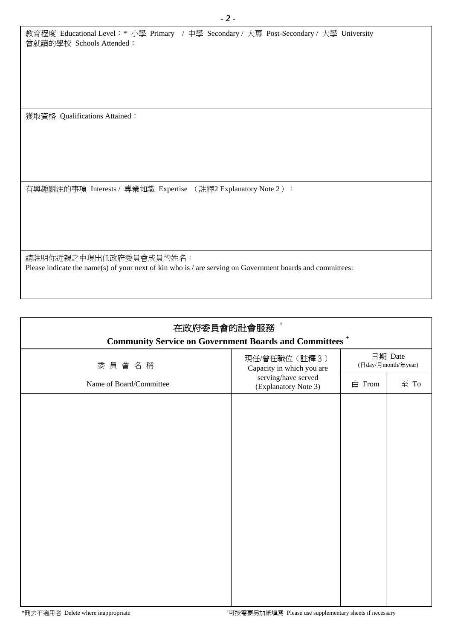|                          | 教育程度 Educational Level:* 小學 Primary / 中學 Secondary/ 大專 Post-Secondary/ 大學 University |
|--------------------------|--------------------------------------------------------------------------------------|
| 曾就讀的學校 Schools Attended: |                                                                                      |

獲取資格 Qualifications Attained:

有興趣關注的事項 Interests / 專業知識 Expertise (註釋2 Explanatory Note 2):

請註明你近親之中現出任政府委員會成員的姓名: Please indicate the name(s) of your next of kin who is / are serving on Government boards and committees:

| 在政府委員會的社會服務+<br><b>Community Service on Government Boards and Committees<sup>+</sup></b> |                                             |                                                                                           |      |
|------------------------------------------------------------------------------------------|---------------------------------------------|-------------------------------------------------------------------------------------------|------|
| 委員會名稱                                                                                    | 現任/曾任職位(註釋3)<br>Capacity in which you are   | 日期 Date<br>$(\exists \, \mathrm{day}/\exists \, \mathrm{month}/\negthinspace\mathrm{xy})$ |      |
| Name of Board/Committee                                                                  | serving/have served<br>(Explanatory Note 3) | 由 From                                                                                    | 至 To |
|                                                                                          |                                             |                                                                                           |      |
|                                                                                          |                                             |                                                                                           |      |
|                                                                                          |                                             |                                                                                           |      |
|                                                                                          |                                             |                                                                                           |      |
|                                                                                          |                                             |                                                                                           |      |
|                                                                                          |                                             |                                                                                           |      |
|                                                                                          |                                             |                                                                                           |      |
|                                                                                          |                                             |                                                                                           |      |
|                                                                                          |                                             |                                                                                           |      |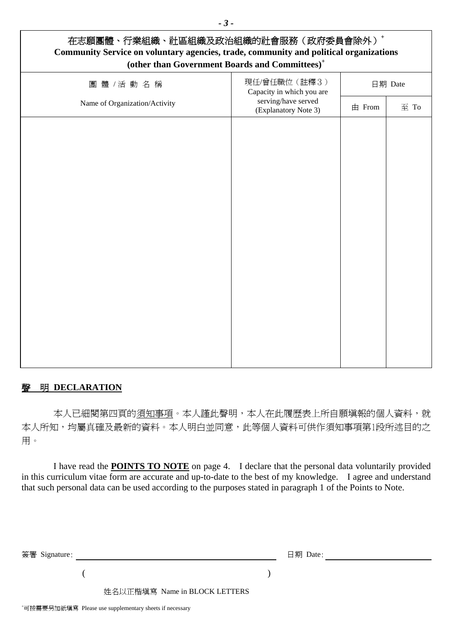| 在志願團體、行業組織、社區組織及政治組織的社會服務(政府委員會除外)+<br>Community Service on voluntary agencies, trade, community and political organizations<br>(other than Government Boards and Committees) <sup>+</sup> |                                             |          |      |  |
|--------------------------------------------------------------------------------------------------------------------------------------------------------------------------------------------|---------------------------------------------|----------|------|--|
| 團體 /活動名稱                                                                                                                                                                                   | 現任/曾任職位(註釋3)<br>Capacity in which you are   | 日期 Date  |      |  |
| Name of Organization/Activity                                                                                                                                                              | serving/have served<br>(Explanatory Note 3) | $#$ From | 至 To |  |
|                                                                                                                                                                                            |                                             |          |      |  |
|                                                                                                                                                                                            |                                             |          |      |  |
|                                                                                                                                                                                            |                                             |          |      |  |
|                                                                                                                                                                                            |                                             |          |      |  |
|                                                                                                                                                                                            |                                             |          |      |  |
|                                                                                                                                                                                            |                                             |          |      |  |
|                                                                                                                                                                                            |                                             |          |      |  |
|                                                                                                                                                                                            |                                             |          |      |  |
|                                                                                                                                                                                            |                                             |          |      |  |
|                                                                                                                                                                                            |                                             |          |      |  |
|                                                                                                                                                                                            |                                             |          |      |  |

### 聲明 **DECLARATION**

本人已細閱第四頁的須知事項。本人謹此聲明,本人在此履歷表上所自願填報的個人資料,就 本人所知,均屬真確及最新的資料。本人明白並同意,此等個人資料可供作須知事項第1段所述目的之 用。

I have read the **POINTS TO NOTE** on page 4. I declare that the personal data voluntarily provided in this curriculum vitae form are accurate and up-to-date to the best of my knowledge. I agree and understand that such personal data can be used according to the purposes stated in paragraph 1 of the Points to Note.

| 簽署 Signature: |                               | 日期 Date: |
|---------------|-------------------------------|----------|
|               |                               |          |
|               | 姓名以正楷填寫 Name in BLOCK LETTERS |          |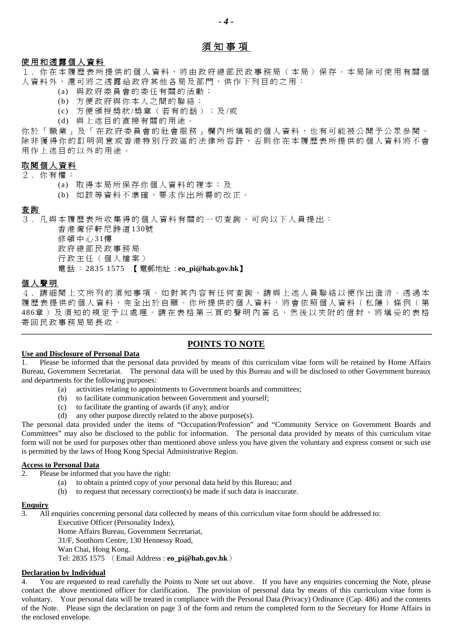### 須知事項

*- 4 -* 

#### 使 用 和透露 個人資料

1 . 你在本履歷表 所提供 的個人資料,將由政府 總 部民政事務局(本局) 保 存 。本局 除 可 使 用有關個 人資料外,還可將之透露給政府其他各局及部門,供作下列目的之用:

- (a) 與 政府委員會的委任有關的 活動;
- (b) 方便政府 與 你本人之 間 的 聯絡;
- (c) 方便頒授獎狀 /獎章( 若 有的話) ; 及 /或
- (d) 與上述 目 的 直 接 有關的用 途 。

你於「職業」及「在政府委員會的社會服務」欄內所填報的個人資料,也有可能被公開予公眾參閱。 除非獲得你的訂明同意或香港特別行政區的法律所容許, 否則你在本履歷表所提供的個人資料將不會 用作上述目的以外的用途。

### 取閱個人資料

2 . 你 有 權 :

- (a) 取 得 本 局 所保存 你個人資料的 複 本 ; 及
- (b) 如該等 資料不 準 確 , 要 求 作 出 所 需 的 改 正 。

#### 査詢

3. 凡與本履歷表所收集得的個人資料有關的一切查詢,可向以下人員提出:

香港灣仔軒尼詩道 130號 修頓中心 31樓 政 府 總 部民政事務局 行政主任(個人檔案) 電話: 2835 1575 【 電郵地址 : **eo\_pi@hab.gov.hk**】

#### 個 人 聲 明

4 . 請細閱 上 文 所 列 的須知事項。 如 對 其 內 容 有 任 何查詢 , 請 與上述 人 員 聯 絡 以便作出 澄 清 。 透 過 本 履歷表提供的個人資料,完全出於自願。你所提供的個人資料,將會依照個人資料(私隱)條例(第 486章)及須知的規定予以處理。請在表格第三頁的聲明內簽名,然後以夾附的信封,將填妥的表格 寄回民政事務局局長收。

### **POINTS TO NOTE**

#### **Use and Disclosure of Personal Data**

1. Please be informed that the personal data provided by means of this curriculum vitae form will be retained by Home Affairs Bureau, Government Secretariat. The personal data will be used by this Bureau and will be disclosed to other Government bureaux and departments for the following purposes:

- (a) activities relating to appointments to Government boards and committees;
- (b) to facilitate communication between Government and yourself;
- (c) to facilitate the granting of awards (if any); and/or
- (d) any other purpose directly related to the above purpose(s).

The personal data provided under the items of "Occupation/Profession" and "Community Service on Government Boards and Committees" may also be disclosed to the public for information. The personal data provided by means of this curriculum vitae form will not be used for purposes other than mentioned above unless you have given the voluntary and express consent or such use is permitted by the laws of Hong Kong Special Administrative Region.

### **Access to Personal Data**

- 2. Please be informed that you have the right:
	- (a) to obtain a printed copy of your personal data held by this Bureau; and
	- (b) to request that necessary correction(s) be made if such data is inaccurate.

#### **Enquiry**

3. All enquiries concerning personal data collected by means of this curriculum vitae form should be addressed to:

Executive Officer (Personality Index),

Home Affairs Bureau, Government Secretariat,

31/F, Southorn Centre, 130 Hennessy Road,

Wan Chai, Hong Kong.

Tel: 2835 1575 (Email Address : **eo\_pi@hab.gov.hk**)

#### **Declaration by Individual**

4. You are requested to read carefully the Points to Note set out above. If you have any enquiries concerning the Note, please contact the above mentioned officer for clarification. The provision of personal data by means of this curriculum vitae form is voluntary. Your personal data will be treated in compliance with the Personal Data (Privacy) Ordinance (Cap. 486) and the contents of the Note. Please sign the declaration on page 3 of the form and return the completed form to the Secretary for Home Affairs in the enclosed envelope.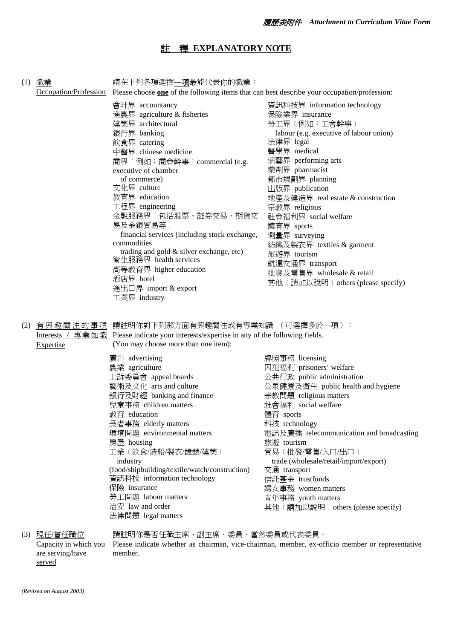# 註釋 **EXPLANATORY NOTE**

| (1) | <u>職業</u><br>Occupation/Profession     | 請在下列各項選擇 <u>一項</u> 最能代表你的職業:<br>Please choose one of the following items that can best describe your occupation/profession:                                                                                                                                                                                               |                                                                                                                                                               |
|-----|----------------------------------------|---------------------------------------------------------------------------------------------------------------------------------------------------------------------------------------------------------------------------------------------------------------------------------------------------------------------------|---------------------------------------------------------------------------------------------------------------------------------------------------------------|
|     |                                        |                                                                                                                                                                                                                                                                                                                           |                                                                                                                                                               |
|     |                                        | 會計界 accountancy                                                                                                                                                                                                                                                                                                           | 資訊科技界 information technology                                                                                                                                  |
|     |                                        | 漁農界 agriculture & fisheries                                                                                                                                                                                                                                                                                               | 保險業界 insurance                                                                                                                                                |
|     |                                        | 建築界 architectural                                                                                                                                                                                                                                                                                                         | 勞工界 (例如:工會幹事)                                                                                                                                                 |
|     |                                        | 銀行界 banking                                                                                                                                                                                                                                                                                                               | labour (e.g. executive of labour union)                                                                                                                       |
|     |                                        | 飲食界 catering                                                                                                                                                                                                                                                                                                              | 法律界 legal                                                                                                                                                     |
|     |                                        | 中醫界 chinese medicine                                                                                                                                                                                                                                                                                                      | 醫學界 medical                                                                                                                                                   |
|     |                                        | 商界〔例如:商會幹事〕commercial (e.g.                                                                                                                                                                                                                                                                                               | 演藝界 performing arts                                                                                                                                           |
|     |                                        | executive of chamber                                                                                                                                                                                                                                                                                                      | 藥劑界 pharmacist                                                                                                                                                |
|     |                                        | of commerce)                                                                                                                                                                                                                                                                                                              | 都市規劃界 planning                                                                                                                                                |
|     |                                        | 文化界 culture                                                                                                                                                                                                                                                                                                               | 出版界 publication                                                                                                                                               |
|     |                                        | 教育界 education                                                                                                                                                                                                                                                                                                             | 地產及建造界 real estate & construction                                                                                                                             |
|     |                                        | 工程界 engineering                                                                                                                                                                                                                                                                                                           | 宗教界 religious                                                                                                                                                 |
|     |                                        | 金融服務界〔包括股票、証券交易、期貨交                                                                                                                                                                                                                                                                                                       | 社會福利界 social welfare                                                                                                                                          |
|     |                                        | 易及金銀貿易等)                                                                                                                                                                                                                                                                                                                  | 體育界 sports                                                                                                                                                    |
|     |                                        | financial services (including stock exchange,                                                                                                                                                                                                                                                                             | 測量界 surveying                                                                                                                                                 |
|     |                                        | commodities                                                                                                                                                                                                                                                                                                               | 紡織及製衣界 textiles & garment                                                                                                                                     |
|     |                                        | trading and gold & silver exchange, etc)                                                                                                                                                                                                                                                                                  | 旅遊界 tourism                                                                                                                                                   |
|     |                                        | 衛生服務界 health services                                                                                                                                                                                                                                                                                                     | 航運交通界 transport                                                                                                                                               |
|     |                                        | 高等教育界 higher education                                                                                                                                                                                                                                                                                                    | 批發及零售界 wholesale & retail                                                                                                                                     |
|     |                                        | 酒店界 hotel                                                                                                                                                                                                                                                                                                                 | 其他 (請加以說明) others (please specify)                                                                                                                            |
|     |                                        | 進出口界 import & export                                                                                                                                                                                                                                                                                                      |                                                                                                                                                               |
|     |                                        | 工業界 industry                                                                                                                                                                                                                                                                                                              |                                                                                                                                                               |
| (2) | <b>Expertise</b>                       | 有興趣關注的事項 請註明你對下列那方面有興趣關注或有專業知識 (可選擇多於一項):<br>Interests / 專業知識 Please indicate your interests/expertise in any of the following fields.<br>(You may choose more than one item):<br>廣告 advertising<br>農業 agriculture<br>上訴委員會 appeal boards<br>藝術及文化 arts and culture<br>銀行及財經 banking and finance<br>兒童事務 children matters | 牌照事務 licensing<br>囚犯福利 prisoners' welfare<br>公共行政 public administration<br>公眾健康及衛生 public health and hygiene<br>宗教問題 religious matters<br>社會福利 social welfare |
|     |                                        | 教育 education                                                                                                                                                                                                                                                                                                              | 體育 sports                                                                                                                                                     |
|     |                                        | 長者事務 elderly matters                                                                                                                                                                                                                                                                                                      | 科技 technology                                                                                                                                                 |
|     |                                        | 環境問題 environmental matters                                                                                                                                                                                                                                                                                                | 電訊及廣播 telecommunication and broadcasting                                                                                                                      |
|     |                                        | 房屋 housing                                                                                                                                                                                                                                                                                                                | 旅游 tourism                                                                                                                                                    |
|     |                                        | 工業〔飲食/造船/製衣/鐘錶/建築〕                                                                                                                                                                                                                                                                                                        | 貿易〔批發/零售/入口/出口〕                                                                                                                                               |
|     |                                        | industry                                                                                                                                                                                                                                                                                                                  | trade (wholesale/retail/import/export)                                                                                                                        |
|     |                                        | (food/shipbuilding/textile/watch/construction)                                                                                                                                                                                                                                                                            | 交通 transport                                                                                                                                                  |
|     |                                        | 資訊科技 information technology                                                                                                                                                                                                                                                                                               | 信託基金 trustfunds                                                                                                                                               |
|     |                                        | 保險 insurance                                                                                                                                                                                                                                                                                                              | 婦女事務 women matters                                                                                                                                            |
|     |                                        | 勞工問題 labour matters                                                                                                                                                                                                                                                                                                       | 青年事務 youth matters                                                                                                                                            |
|     |                                        | 治安 law and order<br>法律問題 legal matters                                                                                                                                                                                                                                                                                    | 其他 (請加以說明) others (please specify)                                                                                                                            |
|     | (3) <u>現任/曾任職位</u><br>are serving/have | 請註明你是否任職主席、副主席、委員、當然委員或代表委員。<br>member.                                                                                                                                                                                                                                                                                   | Capacity in which you Please indicate whether as chairman, vice-chairman, member, ex-officio member or representative                                         |

served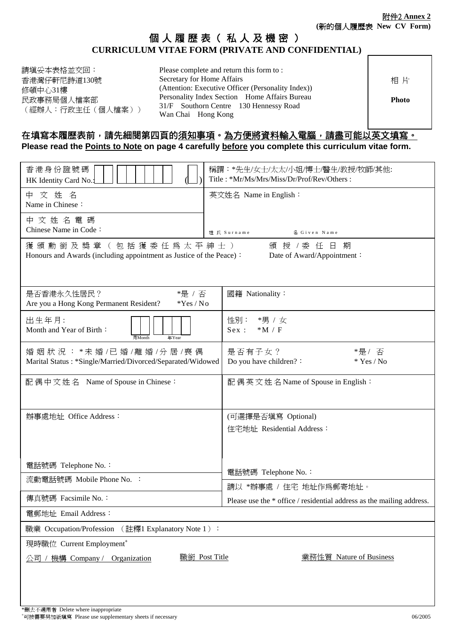## 個人履歷表(私人及機密) **CURRICULUM VITAE FORM (PRIVATE AND CONFIDENTIAL)**

| 請填妥本表格並交回:<br>Please complete and return this form to:<br>Secretary for Home Affairs<br>香港灣仔軒尼詩道130號<br>(Attention: Executive Officer (Personality Index))<br>修頓中心31樓<br>Personality Index Section Home Affairs Bureau<br>民政事務局個人檔案部<br>31/F Southorn Centre 130 Hennessy Road<br>(經辦人:行政主任 (個人檔案))<br>Wan Chai Hong Kong | 相片<br><b>Photo</b> |
|---------------------------------------------------------------------------------------------------------------------------------------------------------------------------------------------------------------------------------------------------------------------------------------------------------------------------|--------------------|
|---------------------------------------------------------------------------------------------------------------------------------------------------------------------------------------------------------------------------------------------------------------------------------------------------------------------------|--------------------|

### 在填寫本履歷表前,請先細閱第四頁的須知事項。為方便將資料輸入電腦,請盡可能以英文填寫。 Please read the **Points to Note on page 4 carefully before** you complete this curriculum vitae form.

| 香港身份證號碼<br>HK Identity Card No.:                                                                           | 稱謂:*先生/女士/太太/小姐/博士/醫生/教授/牧師/其他:<br>Title: *Mr/Ms/Mrs/Miss/Dr/Prof/Rev/Others: |
|------------------------------------------------------------------------------------------------------------|-------------------------------------------------------------------------------|
| 中文姓名<br>Name in Chinese:                                                                                   | 英文姓名 Name in English:                                                         |
| 中 文 姓 名 電 碼<br>Chinese Name in Code:                                                                       | 姓 氏 Surname<br>名 Given Name                                                   |
| 獲 頒 勳 銜 及 獎 章 (包括 獲 委 任 爲 太 平 紳 士 )<br>Honours and Awards (including appointment as Justice of the Peace): | 頒授 /委任日期<br>Date of Award/Appointment:                                        |
| *是 / 否<br>是否香港永久性居民?<br>Are you a Hong Kong Permanent Resident?<br>*Yes / No                               | 國籍 Nationality:                                                               |
| 出生年月:<br>Month and Year of Birth:<br>月Month<br>年Year                                                       | 性別: *男 / 女<br>Sex:<br>$*M / F$                                                |
| 婚姻狀況: *未婚/已婚/離婚/分居/喪偶<br>Marital Status: *Single/Married/Divorced/Separated/Widowed                        | 是否有子女?<br>*是/ 否<br>Do you have children? :<br>$*$ Yes / No                    |
| 配偶中文姓名 Name of Spouse in Chinese:                                                                          | 配偶英文姓名Name of Spouse in English:                                              |
| 辦事處地址 Office Address:                                                                                      | (可選擇是否填寫 Optional)<br>住宅地址 Residential Address:                               |
| 電話號碼 Telephone No.:                                                                                        | 電話號碼 Telephone No.:                                                           |
| 流動電話號碼 Mobile Phone No. :                                                                                  | 請以 *辦事處 / 住宅 地址作爲郵寄地址。                                                        |
| 傳真號碼 Facsimile No.:                                                                                        | Please use the * office / residential address as the mailing address.         |
| 電郵地址 Email Address:                                                                                        |                                                                               |
| 職業 Occupation/Profession (註釋1 Explanatory Note 1):                                                         |                                                                               |
| 現時職位 Current Employment <sup>+</sup>                                                                       |                                                                               |
| 職銜 Post Title<br>機構 Company / Organization<br>公司                                                           | 業務性質 Nature of Business                                                       |
|                                                                                                            |                                                                               |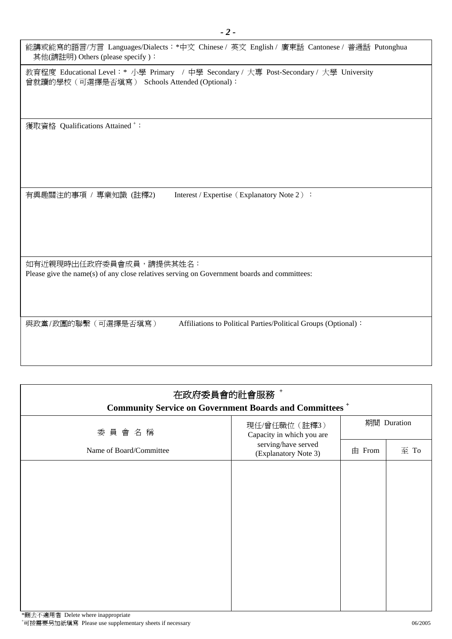| 能講或能寫的語言/方言 Languages/Dialects:*中文 Chinese / 英文 English / 廣東話 Cantonese / 普通話 Putonghua<br>其他(請註明) Others (please specify):              |
|------------------------------------------------------------------------------------------------------------------------------------------|
| 教育程度 Educational Level: * 小學 Primary / 中學 Secondary / 大專 Post-Secondary / 大學 University<br>曾就讀的學校 (可選擇是否填寫) Schools Attended (Optional): |
| 獲取資格 Qualifications Attained <sup>+</sup> :                                                                                              |
| Interest / Expertise (Explanatory Note 2) :<br>有興趣關注的事項 / 專業知識 (註釋2)                                                                     |
| 如有近親現時出任政府委員會成員,請提供其姓名:<br>Please give the name(s) of any close relatives serving on Government boards and committees:                   |
| Affiliations to Political Parties/Political Groups (Optional):<br>與政黨/政團的聯繫(可選擇是否填寫)                                                     |

| 在政府委員會的社會服務+<br><b>Community Service on Government Boards and Committees</b> <sup>+</sup> |                                             |            |             |  |  |  |
|-------------------------------------------------------------------------------------------|---------------------------------------------|------------|-------------|--|--|--|
| 委員會名稱                                                                                     | 現任/曾任職位 (註釋3)<br>Capacity in which you are  |            | 期間 Duration |  |  |  |
| Name of Board/Committee                                                                   | serving/have served<br>(Explanatory Note 3) | $\pm$ From | 至 To        |  |  |  |
|                                                                                           |                                             |            |             |  |  |  |
|                                                                                           |                                             |            |             |  |  |  |
|                                                                                           |                                             |            |             |  |  |  |
|                                                                                           |                                             |            |             |  |  |  |
|                                                                                           |                                             |            |             |  |  |  |
|                                                                                           |                                             |            |             |  |  |  |
|                                                                                           |                                             |            |             |  |  |  |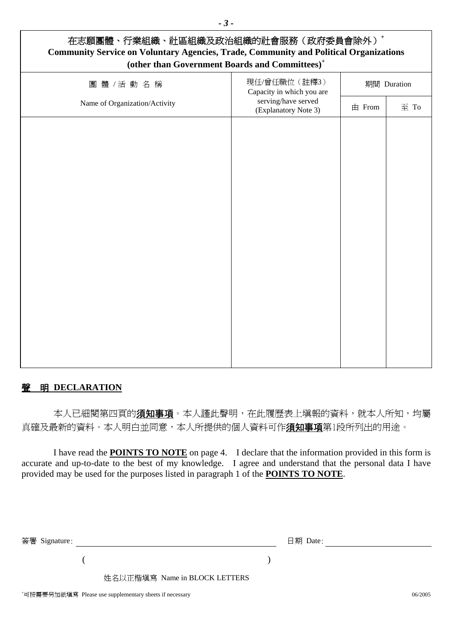| 在志願團體、行業組織、社區組織及政治組織的社會服務(政府委員會除外)+<br><b>Community Service on Voluntary Agencies, Trade, Community and Political Organizations</b><br>(other than Government Boards and Committees) <sup>+</sup> |                                                                                           |            |             |  |  |  |
|---------------------------------------------------------------------------------------------------------------------------------------------------------------------------------------------------|-------------------------------------------------------------------------------------------|------------|-------------|--|--|--|
| 團體 /活動名稱                                                                                                                                                                                          | 現任/曾任職位 (註釋3)<br>Capacity in which you are<br>serving/have served<br>(Explanatory Note 3) |            | 期間 Duration |  |  |  |
| Name of Organization/Activity                                                                                                                                                                     |                                                                                           | $\pm$ From | 至 To        |  |  |  |
|                                                                                                                                                                                                   |                                                                                           |            |             |  |  |  |
|                                                                                                                                                                                                   |                                                                                           |            |             |  |  |  |
|                                                                                                                                                                                                   |                                                                                           |            |             |  |  |  |
|                                                                                                                                                                                                   |                                                                                           |            |             |  |  |  |
|                                                                                                                                                                                                   |                                                                                           |            |             |  |  |  |
|                                                                                                                                                                                                   |                                                                                           |            |             |  |  |  |
|                                                                                                                                                                                                   |                                                                                           |            |             |  |  |  |
|                                                                                                                                                                                                   |                                                                                           |            |             |  |  |  |
|                                                                                                                                                                                                   |                                                                                           |            |             |  |  |  |
|                                                                                                                                                                                                   |                                                                                           |            |             |  |  |  |
|                                                                                                                                                                                                   |                                                                                           |            |             |  |  |  |

*- 3 -* 

### 聲明 **DECLARATION**

本人已細閱第四頁的**須知事項**。本人謹此聲明,在此履歷表上填報的資料,就本人所知,均屬 真確及最新的資料。本人明白並同意,本人所提供的個人資料可作**須知事項**第1段所列出的用途。

I have read the **POINTS TO NOTE** on page 4. I declare that the information provided in this form is accurate and up-to-date to the best of my knowledge. I agree and understand that the personal data I have provided may be used for the purposes listed in paragraph 1 of the **POINTS TO NOTE**.

簽署 Signature: 日期 Date:

 $($  )

姓名以正楷填寫 Name in BLOCK LETTERS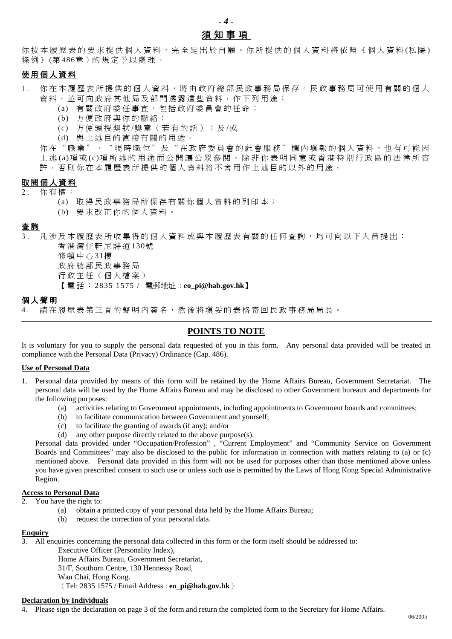### *- 4 -*  須知事項

你按本履歷表的要求提供個人資料,完全是出於自願。你所提供的個人資料將依照《個人資料(私隱) 條例》(第486章)的規定予以處理。

### 使用個人資料

- 1 . 你 在本履歷表 所 提供的個人資 料 , 將 由政府 總 部民政事務局 保 存 。民政事務局可 使 用有關的個人 資料,並可向政府其他局及部門透露這些資料,作下列用途:
	- (a) 有關政府委任事宜,包括政府委員會的任命;
	- (b) 方 便 政府與 你 的 聯 絡 ;
	- (c) 方 便 頒授獎狀 /獎章( 若 有的話) ; 及 /或
	- (d) 與 上述目 的 直 接 有關的用 途 。

你在"職業"、"現時職位"及"在政府委員會的社會服務"欄內填報的個人資料,也有可能因 上 述 (a)項 或 (c)項 所 述 的 用 途 而 公 開 讓 公 眾參閱 。 除 非 你 表 明 同 意 或香港 特 別行政區的 法律所容 許, 否則你在本履歷表所提供的個人資料將不會用作上述目的以外的用途。

### 取閱個人資料

- 2 . 你 有 權 :
	- (a) 取 得 民政事務局 所保存 有 關 你 個人資 料 的 列 印 本 ;
	- (b) 要 求改正你 的個人資 料 。

#### 查 詢

3 . 凡 涉 及本履歷表 所收集得 的個人資 料 或與本履歷表有關的任 何查詢 , 均 可 向 以 下 人員提出: 香港灣仔軒尼詩道 130號

修頓中心 31樓 政 府 總 部民政事務局 行政主任(個人檔案) 【 電話: 2835 1575 / 電郵地址 : **eo\_pi@hab.gov.hk**】

### 個人聲明

4. 請在履歷表 第三頁 的 聲 明 內 簽 名 , 然後將 填妥的表格寄回民政事務局局 長 。

### **POINTS TO NOTE**

It is voluntary for you to supply the personal data requested of you in this form. Any personal data provided will be treated in compliance with the Personal Data (Privacy) Ordinance (Cap. 486).

#### **Use of Personal Data**

- 1. Personal data provided by means of this form will be retained by the Home Affairs Bureau, Government Secretariat. The personal data will be used by the Home Affairs Bureau and may be disclosed to other Government bureaux and departments for the following purposes:
	- (a) activities relating to Government appointments, including appointments to Government boards and committees;
	- (b) to facilitate communication between Government and yourself;
	- (c) to facilitate the granting of awards (if any); and/or (d) any other purpose directly related to the above pur
	- any other purpose directly related to the above purpose $(s)$ .

Personal data provided under "Occupation/Profession" , "Current Employment" and "Community Service on Government Boards and Committees" may also be disclosed to the public for information in connection with matters relating to (a) or (c) mentioned above. Personal data provided in this form will not be used for purposes other than those mentioned above unless you have given prescribed consent to such use or unless such use is permitted by the Laws of Hong Kong Special Administrative Region.

#### **Access to Personal Data**

- 2. You have the right to:
	- (a) obtain a printed copy of your personal data held by the Home Affairs Bureau;
	- (b) request the correction of your personal data.

### **Enquiry**

3. All enquiries concerning the personal data collected in this form or the form itself should be addressed to:

Executive Officer (Personality Index),

Home Affairs Bureau, Government Secretariat,

31/F, Southorn Centre, 130 Hennessy Road,

Wan Chai, Hong Kong.

(Tel: 2835 1575 / Email Address : **eo\_pi@hab.gov.hk**)

### **Declaration by Individuals**

Please sign the declaration on page 3 of the form and return the completed form to the Secretary for Home Affairs.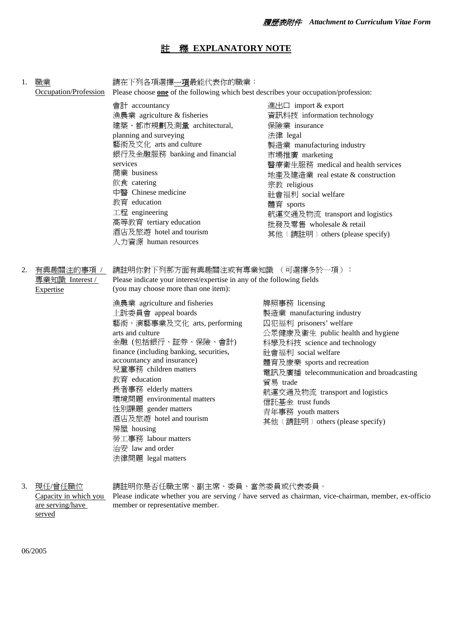### 註釋 **EXPLANATORY NOTE**

| 1. | 職業<br>Occupation/Profession                       | 請在下列各項選擇 <u>一項</u> 最能代表你的職業:<br>Please choose one of the following which best describes your occupation/profession:                                                                                                                                                                                                                                                                                                                                                                                                                                                                          |                                                                                                                                                                                                                                                                                                                                                                             |  |
|----|---------------------------------------------------|----------------------------------------------------------------------------------------------------------------------------------------------------------------------------------------------------------------------------------------------------------------------------------------------------------------------------------------------------------------------------------------------------------------------------------------------------------------------------------------------------------------------------------------------------------------------------------------------|-----------------------------------------------------------------------------------------------------------------------------------------------------------------------------------------------------------------------------------------------------------------------------------------------------------------------------------------------------------------------------|--|
|    |                                                   | 會計 accountancy<br>漁農業 agriculture & fisheries<br>建築、都市規劃及測量 architectural,<br>planning and surveying<br>藝術及文化 arts and culture<br>銀行及金融服務 banking and financial<br>services<br>商業 business<br>飲食 catering<br>中醫 Chinese medicine<br>教育 education<br>工程 engineering<br>高等教育 tertiary education<br>酒店及旅遊 hotel and tourism<br>人力資源 human resources                                                                                                                                                                                                                                             | 進出口 import & export<br>資訊科技 information technology<br>保險業 insurance<br>法律 legal<br>製造業 manufacturing industry<br>市場推廣 marketing<br>醫療衛生服務 medical and health services<br>地產及建造業 real estate & construction<br>宗教 religious<br>社會福利 social welfare<br>體育 sports<br>航運交通及物流 transport and logistics<br>批發及零售 wholesale & retail<br>其他 (請註明) others (please specify)           |  |
| 2. | 有興趣關注的事項 /<br>專業知識 Interest /<br><b>Expertise</b> | 請註明你對下列那方面有興趣關注或有專業知識 (可選擇多於一項):<br>Please indicate your interest/expertise in any of the following fields<br>(you may choose more than one item):<br>漁農業 agriculture and fisheries<br>上訴委員會 appeal boards<br>藝術、演藝事業及文化 arts, performing<br>arts and culture<br>金融 (包括銀行、証券、保險、會計)<br>finance (including banking, securities,<br>accountancy and insurance)<br>兒童事務 children matters<br>教育 education<br>長者事務 elderly matters<br>環境問題 environmental matters<br>性別課題 gender matters<br>酒店及旅遊 hotel and tourism<br>房屋 housing<br>勞工事務 labour matters<br>治安 law and order<br>法律問題 legal matters | 牌照事務 licensing<br>製造業 manufacturing industry<br>囚犯福利 prisoners' welfare<br>公眾健康及衛生 public health and hygiene<br>科學及科技 science and technology<br>社會福利 social welfare<br>體育及康樂 sports and recreation<br>電訊及廣播 telecommunication and broadcasting<br>貿易 trade<br>航運交通及物流 transport and logistics<br>信託基金 trust funds<br>青年事務 youth matters<br>其他 (請註明) others (please specify) |  |

3. 現任/曾任職位 Capacity in which you are serving/have served 請註明你是否任職主席、副主席、委員、當然委員或代表委員。 Please indicate whether you are serving / have served as chairman, vice-chairman, member, ex-officio member or representative member.

06/2005